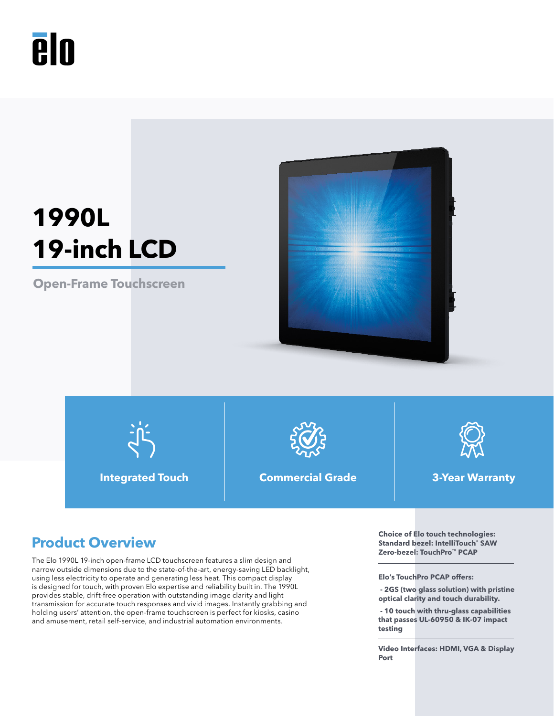# **Aln**

# **1990L 19-inch LCD**

**Open-Frame Touchscreen**





**Integrated Touch Commercial Grade 3-Year Warranty**



The Elo 1990L 19-inch open-frame LCD touchscreen features a slim design and narrow outside dimensions due to the state-of-the-art, energy-saving LED backlight, using less electricity to operate and generating less heat. This compact display is designed for touch, with proven Elo expertise and reliability built in. The 1990L provides stable, drift-free operation with outstanding image clarity and light transmission for accurate touch responses and vivid images. Instantly grabbing and holding users' attention, the open-frame touchscreen is perfect for kiosks, casino and amusement, retail self-service, and industrial automation environments.

**Product Overview Choice of Elo touch technologies: Product Overview Choice of Elo touch technologies: Product Standard bezel: IntelliTouch® SAW Zero-bezel: TouchPro™ PCAP**

**Elo's TouchPro PCAP offers:** 

 **- 2GS (two glass solution) with pristine optical clarity and touch durability.**

 **- 10 touch with thru-glass capabilities that passes UL-60950 & IK-07 impact testing**

**Video Interfaces: HDMI, VGA & Display Port**